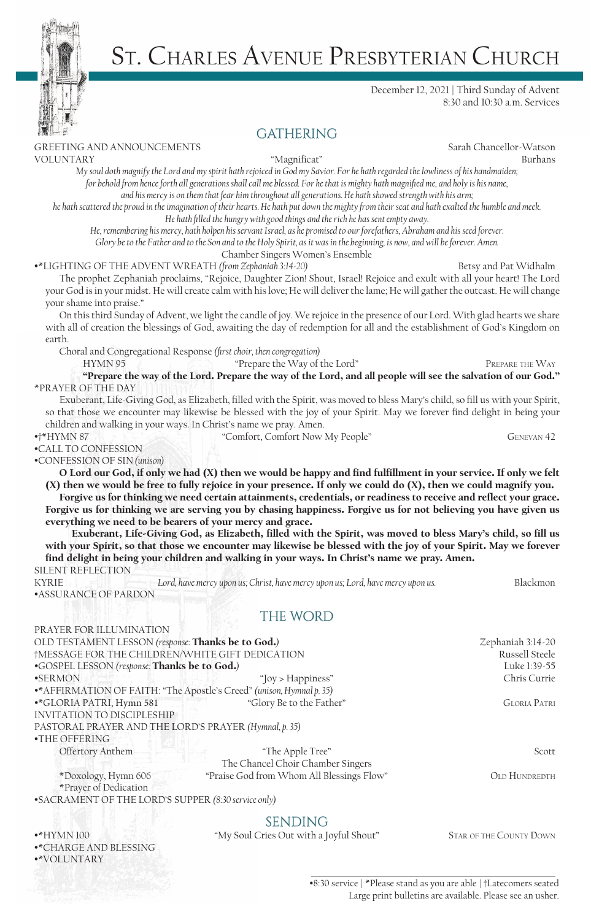# St. Charles Avenue Presbyterian Church

### December 12, 2021 | Third Sunday of Advent 8:30 and 10:30 a.m. Services

### **GATHERING**

GREETING AND ANNOUNCEMENTS Sarah Chancellor-Watson

VOLUNTARY "Magnificat" Burhans

*My soul doth magnify the Lord and my spirit hath rejoiced in God my Savior. For he hath regarded the lowliness of his handmaiden;*  for behold from hence forth all generations shall call me blessed. For he that is mighty hath magnified me, and holy is his name, *and his mercy is on them that fear him throughout all generations. He hath showed strength with his arm;* 

*he hath scattered the proud in the imagination of their hearts. He hath put down the mighty from their seat and hath exalted the humble and meek. He hath filled the hungry with good things and the rich he has sent empty away.* 

*He, remembering his mercy, hath holpen his servant Israel, as he promised to our forefathers, Abraham and his seed forever.* 

*Glory be to the Father and to the Son and to the Holy Spirit, as it was in the beginning, is now, and will be forever. Amen.*

### Chamber Singers Women's Ensemble

### •\*LIGHTING OF THE ADVENT WREATH *(from Zephaniah 3:14-20)* Betsy and Pat Widhalm

 The prophet Zephaniah proclaims, "Rejoice, Daughter Zion! Shout, Israel! Rejoice and exult with all your heart! The Lord your God is in your midst. He will create calm with his love; He will deliver the lame; He will gather the outcast. He will change your shame into praise."

On this third Sunday of Advent, we light the candle of joy. We rejoice in the presence of our Lord. With glad hearts we share with all of creation the blessings of God, awaiting the day of redemption for all and the establishment of God's Kingdom on earth.

Choral and Congregational Response *(first choir, then congregation)*

HYMN 95

"Prepare the way of the Lord. Prepare the way of the Lord, and all people will see the salvation of our God." \*PRAYER OF THE DAY

Exuberant, Life-Giving God, as Elizabeth, filled with the Spirit, was moved to bless Mary's child, so fill us with your Spirit, so that those we encounter may likewise be blessed with the joy of your Spirit. May we forever find delight in being your children and walking in your ways. In Christ's name we pray. Amen.

•†\*HYMN 87 GENEVAN 42

•CALL TO CONFESSION

•CONFESSION OF SIN *(unison)* 

O Lord our God, if only we had (X) then we would be happy and find fulfillment in your service. If only we felt (X) then we would be free to fully rejoice in your presence. If only we could do (X), then we could magnify you.

Forgive us for thinking we need certain attainments, credentials, or readiness to receive and reflect your grace. Forgive us for thinking we are serving you by chasing happiness. Forgive us for not believing you have given us everything we need to be bearers of your mercy and grace.

 Exuberant, Life-Giving God, as Elizabeth, filled with the Spirit, was moved to bless Mary's child, so fill us with your Spirit, so that those we encounter may likewise be blessed with the joy of your Spirit. May we forever find delight in being your children and walking in your ways. In Christ's name we pray. Amen.

SILENT REFLECTION

PRAYER FOR ILLUMINATION

KYRIE *Lord, have mercy upon us; Christ, have mercy upon us; Lord, have mercy upon us.* **Blackmon** •ASSURANCE OF PARDON

# **THE WORD**

| I KAILK LOK ILLO MII VALIOI V                                         |                                           |                      |
|-----------------------------------------------------------------------|-------------------------------------------|----------------------|
| OLD TESTAMENT LESSON (response: Thanks be to God.)                    |                                           | Zephaniah 3:14-20    |
| †MESSAGE FOR THE CHILDREN/WHITE GIFT DEDICATION                       |                                           | Russell Steele       |
| .GOSPEL LESSON (response: Thanks be to God.)                          |                                           | Luke 1:39-55         |
| <b>•SERMON</b>                                                        | "Joy > Happiness"                         | Chris Currie         |
| •* AFFIRMATION OF FAITH: "The Apostle's Creed" (unison, Hymnal p. 35) |                                           |                      |
| •*GLORIA PATRI, Hymn 581                                              | "Glory Be to the Father"                  | <b>GLORIA PATRI</b>  |
| <b>INVITATION TO DISCIPLESHIP</b>                                     |                                           |                      |
| PASTORAL PRAYER AND THE LORD'S PRAYER (Hymnal, p. 35)                 |                                           |                      |
| •THE OFFERING                                                         |                                           |                      |
| Offertory Anthem                                                      | "The Apple Tree"                          | Scott                |
|                                                                       | The Chancel Choir Chamber Singers         |                      |
| *Doxology, Hymn 606<br>*Prayer of Dedication                          | "Praise God from Whom All Blessings Flow" | <b>OLD HUNDREDTH</b> |
| •SACRAMENT OF THE LORD'S SUPPER (8:30 service only)                   |                                           |                      |
|                                                                       |                                           |                      |

**SENDING**<br>We Soul Cries Out with a I •\*HYMN 100 "My Soul Cries Out with a Joyful Shout" Star of the County Down

•\*CHARGE AND BLESSING •\*VOLUNTARY

> •8:30 service | \*Please stand as you are able | †Latecomers seated Large print bulletins are available. Please see an usher.